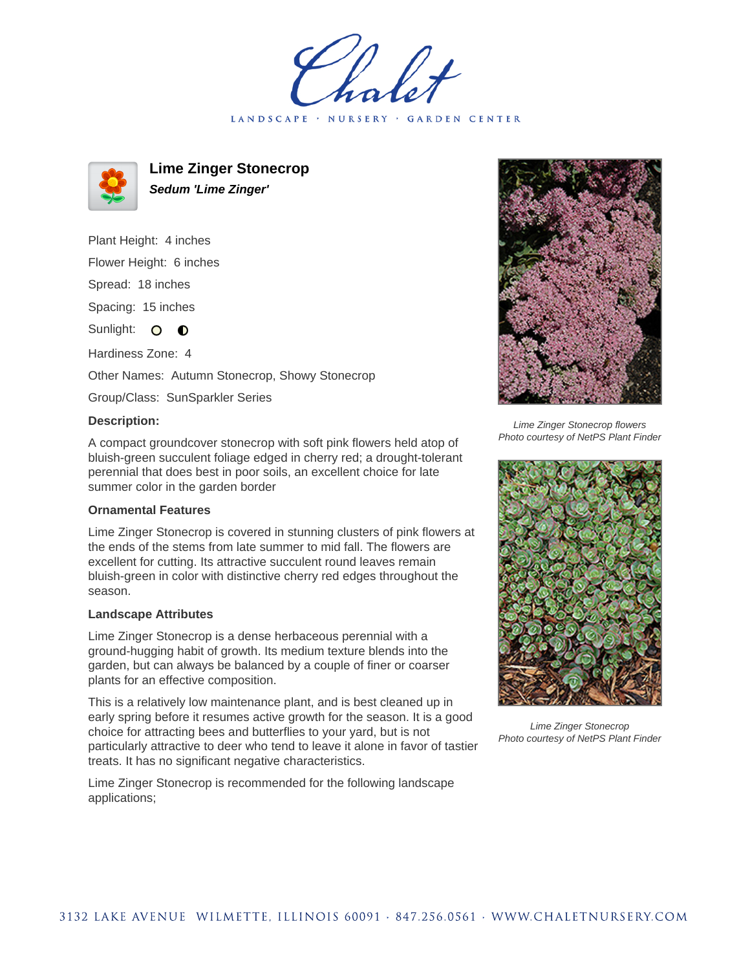LANDSCAPE · NURSERY · GARDEN CENTER



**Lime Zinger Stonecrop Sedum 'Lime Zinger'**

Plant Height: 4 inches Flower Height: 6 inches Spread: 18 inches Spacing: 15 inches Sunlight: O **O** Hardiness Zone: 4 Other Names: Autumn Stonecrop, Showy Stonecrop

Group/Class: SunSparkler Series

## **Description:**

A compact groundcover stonecrop with soft pink flowers held atop of bluish-green succulent foliage edged in cherry red; a drought-tolerant perennial that does best in poor soils, an excellent choice for late summer color in the garden border

## **Ornamental Features**

Lime Zinger Stonecrop is covered in stunning clusters of pink flowers at the ends of the stems from late summer to mid fall. The flowers are excellent for cutting. Its attractive succulent round leaves remain bluish-green in color with distinctive cherry red edges throughout the season.

## **Landscape Attributes**

Lime Zinger Stonecrop is a dense herbaceous perennial with a ground-hugging habit of growth. Its medium texture blends into the garden, but can always be balanced by a couple of finer or coarser plants for an effective composition.

This is a relatively low maintenance plant, and is best cleaned up in early spring before it resumes active growth for the season. It is a good choice for attracting bees and butterflies to your yard, but is not particularly attractive to deer who tend to leave it alone in favor of tastier treats. It has no significant negative characteristics.

Lime Zinger Stonecrop is recommended for the following landscape applications;



Lime Zinger Stonecrop flowers Photo courtesy of NetPS Plant Finder



Lime Zinger Stonecrop Photo courtesy of NetPS Plant Finder